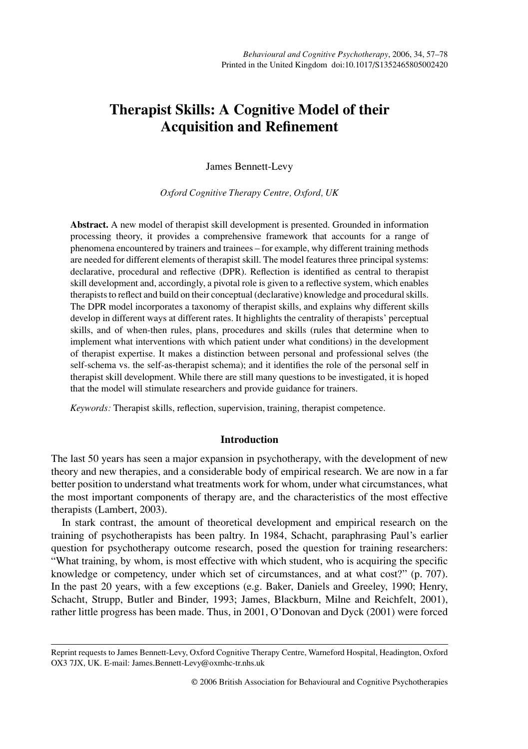# **Therapist Skills: A Cognitive Model of their Acquisition and Refinement**

# James Bennett-Levy

*Oxford Cognitive Therapy Centre, Oxford, UK*

**Abstract.** A new model of therapist skill development is presented. Grounded in information processing theory, it provides a comprehensive framework that accounts for a range of phenomena encountered by trainers and trainees – for example, why different training methods are needed for different elements of therapist skill. The model features three principal systems: declarative, procedural and reflective (DPR). Reflection is identified as central to therapist skill development and, accordingly, a pivotal role is given to a reflective system, which enables therapists to reflect and build on their conceptual (declarative) knowledge and procedural skills. The DPR model incorporates a taxonomy of therapist skills, and explains why different skills develop in different ways at different rates. It highlights the centrality of therapists' perceptual skills, and of when-then rules, plans, procedures and skills (rules that determine when to implement what interventions with which patient under what conditions) in the development of therapist expertise. It makes a distinction between personal and professional selves (the self-schema vs. the self-as-therapist schema); and it identifies the role of the personal self in therapist skill development. While there are still many questions to be investigated, it is hoped that the model will stimulate researchers and provide guidance for trainers.

*Keywords:* Therapist skills, reflection, supervision, training, therapist competence.

# **Introduction**

The last 50 years has seen a major expansion in psychotherapy, with the development of new theory and new therapies, and a considerable body of empirical research. We are now in a far better position to understand what treatments work for whom, under what circumstances, what the most important components of therapy are, and the characteristics of the most effective therapists (Lambert, 2003).

In stark contrast, the amount of theoretical development and empirical research on the training of psychotherapists has been paltry. In 1984, Schacht, paraphrasing Paul's earlier question for psychotherapy outcome research, posed the question for training researchers: "What training, by whom, is most effective with which student, who is acquiring the specific knowledge or competency, under which set of circumstances, and at what cost?" (p. 707). In the past 20 years, with a few exceptions (e.g. Baker, Daniels and Greeley, 1990; Henry, Schacht, Strupp, Butler and Binder, 1993; James, Blackburn, Milne and Reichfelt, 2001), rather little progress has been made. Thus, in 2001, O'Donovan and Dyck (2001) were forced

Reprint requests to James Bennett-Levy, Oxford Cognitive Therapy Centre, Warneford Hospital, Headington, Oxford OX3 7JX, UK. E-mail: James.Bennett-Levy@oxmhc-tr.nhs.uk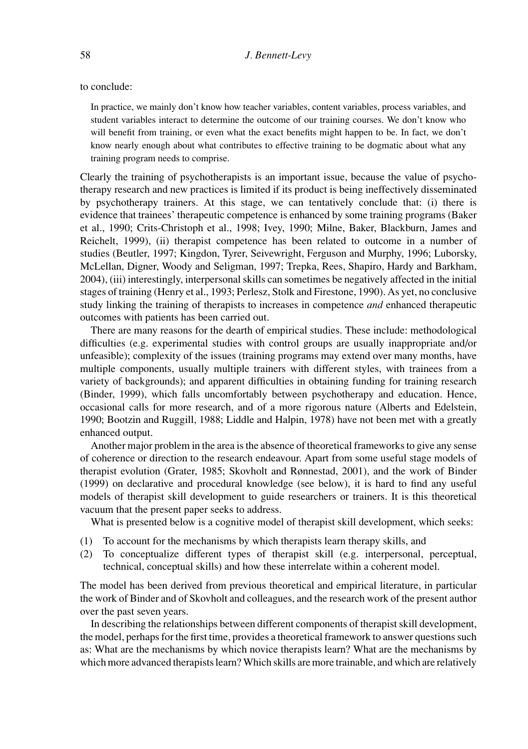to conclude:

In practice, we mainly don't know how teacher variables, content variables, process variables, and student variables interact to determine the outcome of our training courses. We don't know who will benefit from training, or even what the exact benefits might happen to be. In fact, we don't know nearly enough about what contributes to effective training to be dogmatic about what any training program needs to comprise.

Clearly the training of psychotherapists is an important issue, because the value of psychotherapy research and new practices is limited if its product is being ineffectively disseminated by psychotherapy trainers. At this stage, we can tentatively conclude that: (i) there is evidence that trainees' therapeutic competence is enhanced by some training programs (Baker et al., 1990; Crits-Christoph et al., 1998; Ivey, 1990; Milne, Baker, Blackburn, James and Reichelt, 1999), (ii) therapist competence has been related to outcome in a number of studies (Beutler, 1997; Kingdon, Tyrer, Seivewright, Ferguson and Murphy, 1996; Luborsky, McLellan, Digner, Woody and Seligman, 1997; Trepka, Rees, Shapiro, Hardy and Barkham, 2004), (iii) interestingly, interpersonal skills can sometimes be negatively affected in the initial stages of training (Henry et al., 1993; Perlesz, Stolk and Firestone, 1990). As yet, no conclusive study linking the training of therapists to increases in competence *and* enhanced therapeutic outcomes with patients has been carried out.

There are many reasons for the dearth of empirical studies. These include: methodological difficulties (e.g. experimental studies with control groups are usually inappropriate and/or unfeasible); complexity of the issues (training programs may extend over many months, have multiple components, usually multiple trainers with different styles, with trainees from a variety of backgrounds); and apparent difficulties in obtaining funding for training research (Binder, 1999), which falls uncomfortably between psychotherapy and education. Hence, occasional calls for more research, and of a more rigorous nature (Alberts and Edelstein, 1990; Bootzin and Ruggill, 1988; Liddle and Halpin, 1978) have not been met with a greatly enhanced output.

Another major problem in the area is the absence of theoretical frameworks to give any sense of coherence or direction to the research endeavour. Apart from some useful stage models of therapist evolution (Grater, 1985; Skovholt and Rønnestad, 2001), and the work of Binder (1999) on declarative and procedural knowledge (see below), it is hard to find any useful models of therapist skill development to guide researchers or trainers. It is this theoretical vacuum that the present paper seeks to address.

What is presented below is a cognitive model of therapist skill development, which seeks:

- (1) To account for the mechanisms by which therapists learn therapy skills, and
- (2) To conceptualize different types of therapist skill (e.g. interpersonal, perceptual, technical, conceptual skills) and how these interrelate within a coherent model.

The model has been derived from previous theoretical and empirical literature, in particular the work of Binder and of Skovholt and colleagues, and the research work of the present author over the past seven years.

In describing the relationships between different components of therapist skill development, the model, perhaps for the first time, provides a theoretical framework to answer questions such as: What are the mechanisms by which novice therapists learn? What are the mechanisms by which more advanced therapists learn? Which skills are more trainable, and which are relatively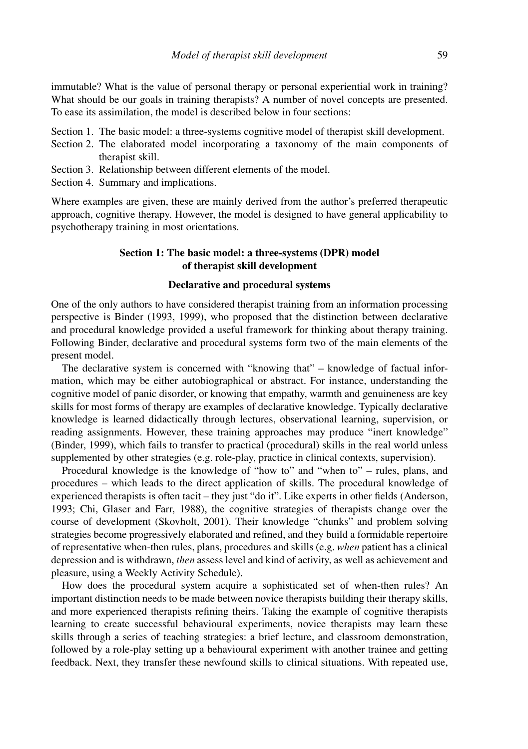immutable? What is the value of personal therapy or personal experiential work in training? What should be our goals in training therapists? A number of novel concepts are presented. To ease its assimilation, the model is described below in four sections:

- Section 1. The basic model: a three-systems cognitive model of therapist skill development.
- Section 2. The elaborated model incorporating a taxonomy of the main components of therapist skill.
- Section 3. Relationship between different elements of the model.
- Section 4. Summary and implications.

Where examples are given, these are mainly derived from the author's preferred therapeutic approach, cognitive therapy. However, the model is designed to have general applicability to psychotherapy training in most orientations.

# **Section 1: The basic model: a three-systems (DPR) model of therapist skill development**

#### **Declarative and procedural systems**

One of the only authors to have considered therapist training from an information processing perspective is Binder (1993, 1999), who proposed that the distinction between declarative and procedural knowledge provided a useful framework for thinking about therapy training. Following Binder, declarative and procedural systems form two of the main elements of the present model.

The declarative system is concerned with "knowing that" – knowledge of factual information, which may be either autobiographical or abstract. For instance, understanding the cognitive model of panic disorder, or knowing that empathy, warmth and genuineness are key skills for most forms of therapy are examples of declarative knowledge. Typically declarative knowledge is learned didactically through lectures, observational learning, supervision, or reading assignments. However, these training approaches may produce "inert knowledge" (Binder, 1999), which fails to transfer to practical (procedural) skills in the real world unless supplemented by other strategies (e.g. role-play, practice in clinical contexts, supervision).

Procedural knowledge is the knowledge of "how to" and "when to" – rules, plans, and procedures – which leads to the direct application of skills. The procedural knowledge of experienced therapists is often tacit – they just "do it". Like experts in other fields (Anderson, 1993; Chi, Glaser and Farr, 1988), the cognitive strategies of therapists change over the course of development (Skovholt, 2001). Their knowledge "chunks" and problem solving strategies become progressively elaborated and refined, and they build a formidable repertoire of representative when-then rules, plans, procedures and skills (e.g. *when* patient has a clinical depression and is withdrawn, *then* assess level and kind of activity, as well as achievement and pleasure, using a Weekly Activity Schedule).

How does the procedural system acquire a sophisticated set of when-then rules? An important distinction needs to be made between novice therapists building their therapy skills, and more experienced therapists refining theirs. Taking the example of cognitive therapists learning to create successful behavioural experiments, novice therapists may learn these skills through a series of teaching strategies: a brief lecture, and classroom demonstration, followed by a role-play setting up a behavioural experiment with another trainee and getting feedback. Next, they transfer these newfound skills to clinical situations. With repeated use,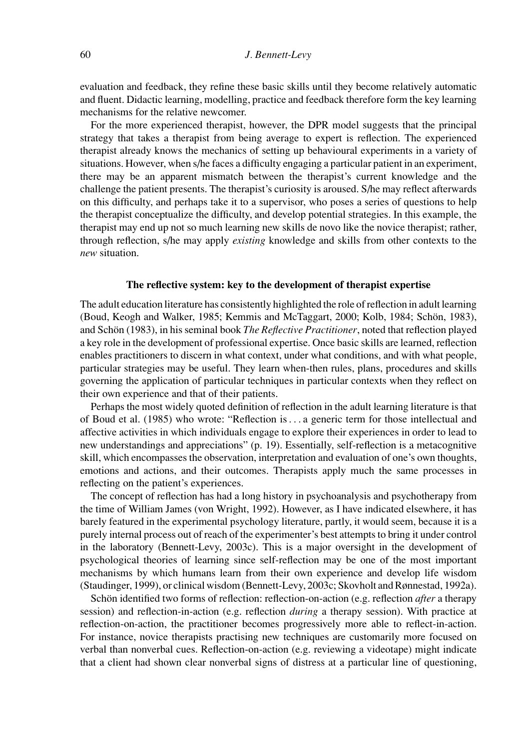evaluation and feedback, they refine these basic skills until they become relatively automatic and fluent. Didactic learning, modelling, practice and feedback therefore form the key learning mechanisms for the relative newcomer.

For the more experienced therapist, however, the DPR model suggests that the principal strategy that takes a therapist from being average to expert is reflection. The experienced therapist already knows the mechanics of setting up behavioural experiments in a variety of situations. However, when s/he faces a difficulty engaging a particular patient in an experiment, there may be an apparent mismatch between the therapist's current knowledge and the challenge the patient presents. The therapist's curiosity is aroused. S/he may reflect afterwards on this difficulty, and perhaps take it to a supervisor, who poses a series of questions to help the therapist conceptualize the difficulty, and develop potential strategies. In this example, the therapist may end up not so much learning new skills de novo like the novice therapist; rather, through reflection, s/he may apply *existing* knowledge and skills from other contexts to the *new* situation.

# **The reflective system: key to the development of therapist expertise**

The adult education literature has consistently highlighted the role of reflection in adult learning (Boud, Keogh and Walker, 1985; Kemmis and McTaggart, 2000; Kolb, 1984; Schön, 1983), and Schön (1983), in his seminal book *The Reflective Practitioner*, noted that reflection played a key role in the development of professional expertise. Once basic skills are learned, reflection enables practitioners to discern in what context, under what conditions, and with what people, particular strategies may be useful. They learn when-then rules, plans, procedures and skills governing the application of particular techniques in particular contexts when they reflect on their own experience and that of their patients.

Perhaps the most widely quoted definition of reflection in the adult learning literature is that of Boud et al. (1985) who wrote: "Reflection is*...* a generic term for those intellectual and affective activities in which individuals engage to explore their experiences in order to lead to new understandings and appreciations" (p. 19). Essentially, self-reflection is a metacognitive skill, which encompasses the observation, interpretation and evaluation of one's own thoughts, emotions and actions, and their outcomes. Therapists apply much the same processes in reflecting on the patient's experiences.

The concept of reflection has had a long history in psychoanalysis and psychotherapy from the time of William James (von Wright, 1992). However, as I have indicated elsewhere, it has barely featured in the experimental psychology literature, partly, it would seem, because it is a purely internal process out of reach of the experimenter's best attempts to bring it under control in the laboratory (Bennett-Levy, 2003c). This is a major oversight in the development of psychological theories of learning since self-reflection may be one of the most important mechanisms by which humans learn from their own experience and develop life wisdom (Staudinger, 1999), or clinical wisdom (Bennett-Levy, 2003c; Skovholt and Rønnestad, 1992a).

Schön identified two forms of reflection: reflection-on-action (e.g. reflection *after* a therapy session) and reflection-in-action (e.g. reflection *during* a therapy session). With practice at reflection-on-action, the practitioner becomes progressively more able to reflect-in-action. For instance, novice therapists practising new techniques are customarily more focused on verbal than nonverbal cues. Reflection-on-action (e.g. reviewing a videotape) might indicate that a client had shown clear nonverbal signs of distress at a particular line of questioning,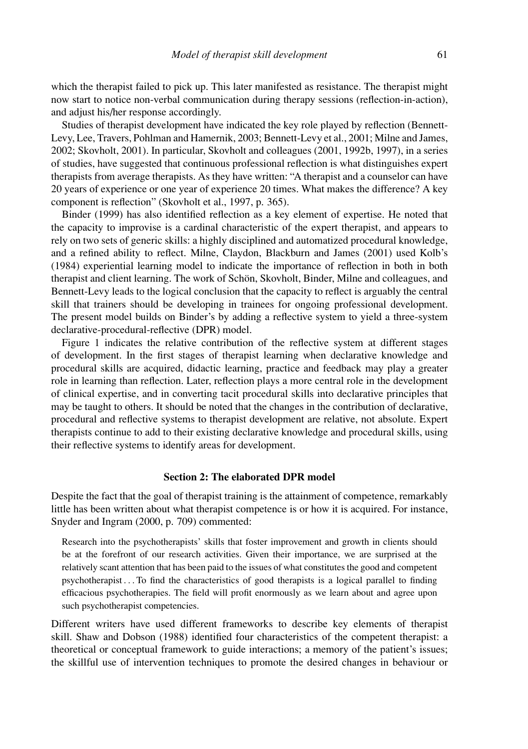which the therapist failed to pick up. This later manifested as resistance. The therapist might now start to notice non-verbal communication during therapy sessions (reflection-in-action), and adjust his/her response accordingly.

Studies of therapist development have indicated the key role played by reflection (Bennett-Levy, Lee, Travers, Pohlman and Hamernik, 2003; Bennett-Levy et al., 2001; Milne and James, 2002; Skovholt, 2001). In particular, Skovholt and colleagues (2001, 1992b, 1997), in a series of studies, have suggested that continuous professional reflection is what distinguishes expert therapists from average therapists. As they have written: "A therapist and a counselor can have 20 years of experience or one year of experience 20 times. What makes the difference? A key component is reflection" (Skovholt et al., 1997, p. 365).

Binder (1999) has also identified reflection as a key element of expertise. He noted that the capacity to improvise is a cardinal characteristic of the expert therapist, and appears to rely on two sets of generic skills: a highly disciplined and automatized procedural knowledge, and a refined ability to reflect. Milne, Claydon, Blackburn and James (2001) used Kolb's (1984) experiential learning model to indicate the importance of reflection in both in both therapist and client learning. The work of Schön, Skovholt, Binder, Milne and colleagues, and Bennett-Levy leads to the logical conclusion that the capacity to reflect is arguably the central skill that trainers should be developing in trainees for ongoing professional development. The present model builds on Binder's by adding a reflective system to yield a three-system declarative-procedural-reflective (DPR) model.

Figure 1 indicates the relative contribution of the reflective system at different stages of development. In the first stages of therapist learning when declarative knowledge and procedural skills are acquired, didactic learning, practice and feedback may play a greater role in learning than reflection. Later, reflection plays a more central role in the development of clinical expertise, and in converting tacit procedural skills into declarative principles that may be taught to others. It should be noted that the changes in the contribution of declarative, procedural and reflective systems to therapist development are relative, not absolute. Expert therapists continue to add to their existing declarative knowledge and procedural skills, using their reflective systems to identify areas for development.

# **Section 2: The elaborated DPR model**

Despite the fact that the goal of therapist training is the attainment of competence, remarkably little has been written about what therapist competence is or how it is acquired. For instance, Snyder and Ingram (2000, p. 709) commented:

Research into the psychotherapists' skills that foster improvement and growth in clients should be at the forefront of our research activities. Given their importance, we are surprised at the relatively scant attention that has been paid to the issues of what constitutes the good and competent psychotherapist *...* To find the characteristics of good therapists is a logical parallel to finding efficacious psychotherapies. The field will profit enormously as we learn about and agree upon such psychotherapist competencies.

Different writers have used different frameworks to describe key elements of therapist skill. Shaw and Dobson (1988) identified four characteristics of the competent therapist: a theoretical or conceptual framework to guide interactions; a memory of the patient's issues; the skillful use of intervention techniques to promote the desired changes in behaviour or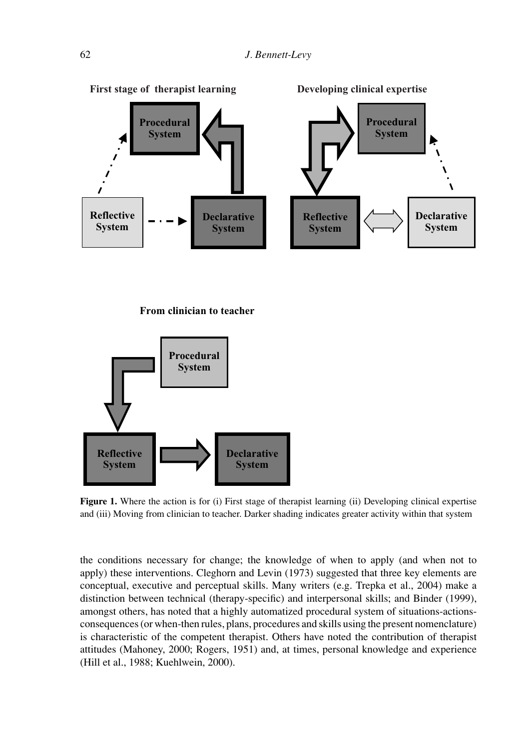

**From clinician to teacher**



**Figure 1.** Where the action is for (i) First stage of therapist learning (ii) Developing clinical expertise and (iii) Moving from clinician to teacher. Darker shading indicates greater activity within that system

the conditions necessary for change; the knowledge of when to apply (and when not to apply) these interventions. Cleghorn and Levin (1973) suggested that three key elements are conceptual, executive and perceptual skills. Many writers (e.g. Trepka et al., 2004) make a distinction between technical (therapy-specific) and interpersonal skills; and Binder (1999), amongst others, has noted that a highly automatized procedural system of situations-actionsconsequences (or when-then rules, plans, procedures and skills using the present nomenclature) is characteristic of the competent therapist. Others have noted the contribution of therapist attitudes (Mahoney, 2000; Rogers, 1951) and, at times, personal knowledge and experience (Hill et al., 1988; Kuehlwein, 2000).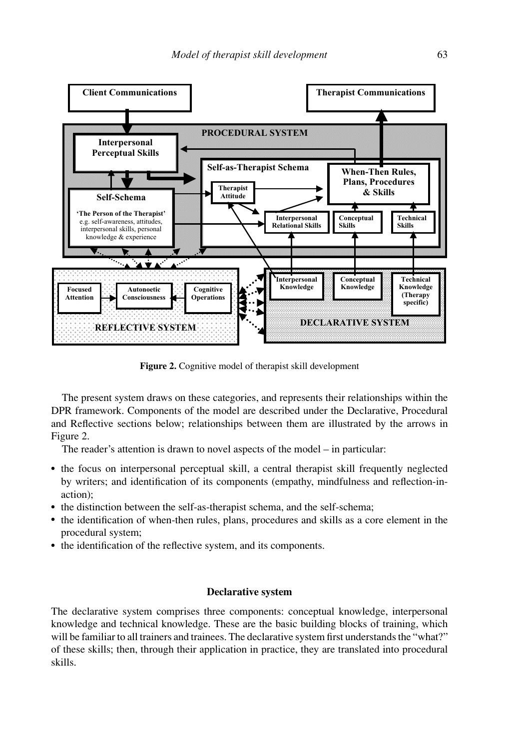

**Figure 2.** Cognitive model of therapist skill development

The present system draws on these categories, and represents their relationships within the DPR framework. Components of the model are described under the Declarative, Procedural and Reflective sections below; relationships between them are illustrated by the arrows in Figure 2.

The reader's attention is drawn to novel aspects of the model – in particular:

- the focus on interpersonal perceptual skill, a central therapist skill frequently neglected by writers; and identification of its components (empathy, mindfulness and reflection-inaction);
- the distinction between the self-as-therapist schema, and the self-schema;
- the identification of when-then rules, plans, procedures and skills as a core element in the procedural system;
- the identification of the reflective system, and its components.

# **Declarative system**

The declarative system comprises three components: conceptual knowledge, interpersonal knowledge and technical knowledge. These are the basic building blocks of training, which will be familiar to all trainers and trainees. The declarative system first understands the "what?" of these skills; then, through their application in practice, they are translated into procedural skills.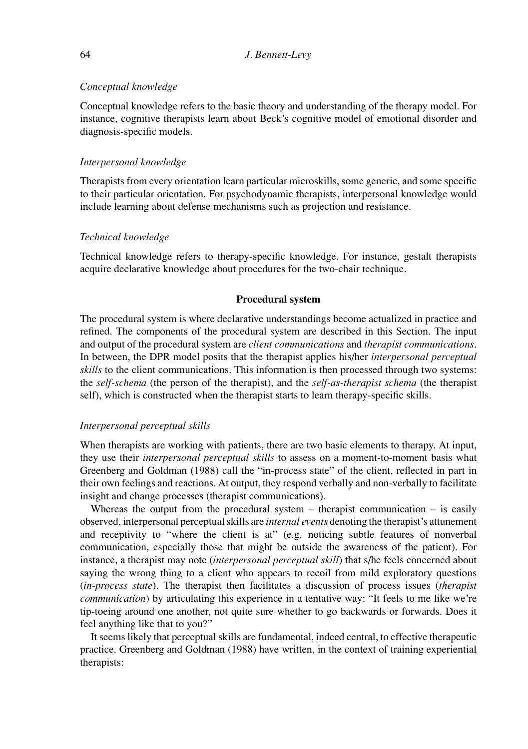# *Conceptual knowledge*

Conceptual knowledge refers to the basic theory and understanding of the therapy model. For instance, cognitive therapists learn about Beck's cognitive model of emotional disorder and diagnosis-specific models.

# *Interpersonal knowledge*

Therapists from every orientation learn particular microskills, some generic, and some specific to their particular orientation. For psychodynamic therapists, interpersonal knowledge would include learning about defense mechanisms such as projection and resistance.

#### *Technical knowledge*

Technical knowledge refers to therapy-specific knowledge. For instance, gestalt therapists acquire declarative knowledge about procedures for the two-chair technique.

# **Procedural system**

The procedural system is where declarative understandings become actualized in practice and refined. The components of the procedural system are described in this Section. The input and output of the procedural system are *client communications* and *therapist communications*. In between, the DPR model posits that the therapist applies his/her *interpersonal perceptual skills* to the client communications. This information is then processed through two systems: the *self-schema* (the person of the therapist), and the *self-as-therapist schema* (the therapist self), which is constructed when the therapist starts to learn therapy-specific skills.

# *Interpersonal perceptual skills*

When therapists are working with patients, there are two basic elements to therapy. At input, they use their *interpersonal perceptual skills* to assess on a moment-to-moment basis what Greenberg and Goldman (1988) call the "in-process state" of the client, reflected in part in their own feelings and reactions. At output, they respond verbally and non-verbally to facilitate insight and change processes (therapist communications).

Whereas the output from the procedural system  $-$  therapist communication  $-$  is easily observed, interpersonal perceptual skills are *internal events* denoting the therapist's attunement and receptivity to "where the client is at" (e.g. noticing subtle features of nonverbal communication, especially those that might be outside the awareness of the patient). For instance, a therapist may note (*interpersonal perceptual skill*) that s/he feels concerned about saying the wrong thing to a client who appears to recoil from mild exploratory questions (*in-process state*). The therapist then facilitates a discussion of process issues (*therapist communication*) by articulating this experience in a tentative way: "It feels to me like we're tip-toeing around one another, not quite sure whether to go backwards or forwards. Does it feel anything like that to you?"

It seems likely that perceptual skills are fundamental, indeed central, to effective therapeutic practice. Greenberg and Goldman (1988) have written, in the context of training experiential therapists: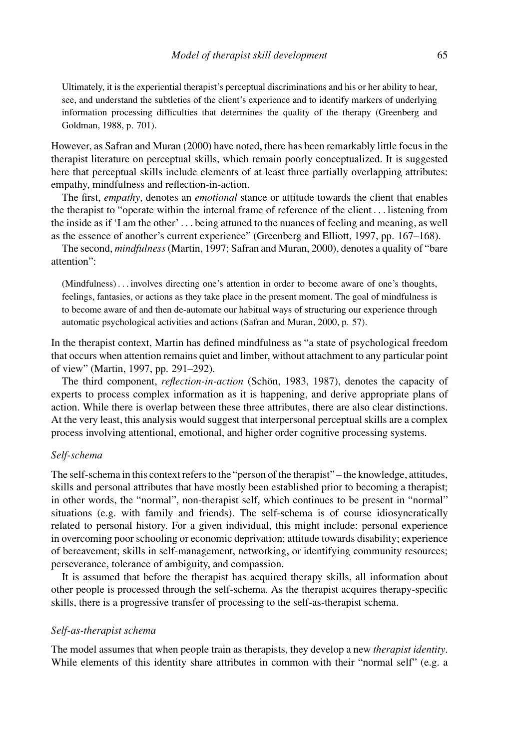Ultimately, it is the experiential therapist's perceptual discriminations and his or her ability to hear, see, and understand the subtleties of the client's experience and to identify markers of underlying information processing difficulties that determines the quality of the therapy (Greenberg and Goldman, 1988, p. 701).

However, as Safran and Muran (2000) have noted, there has been remarkably little focus in the therapist literature on perceptual skills, which remain poorly conceptualized. It is suggested here that perceptual skills include elements of at least three partially overlapping attributes: empathy, mindfulness and reflection-in-action.

The first, *empathy*, denotes an *emotional* stance or attitude towards the client that enables the therapist to "operate within the internal frame of reference of the client *...* listening from the inside as if 'I am the other'*...* being attuned to the nuances of feeling and meaning, as well as the essence of another's current experience" (Greenberg and Elliott, 1997, pp. 167–168).

The second, *mindfulness*(Martin, 1997; Safran and Muran, 2000), denotes a quality of "bare attention":

(Mindfulness)*...* involves directing one's attention in order to become aware of one's thoughts, feelings, fantasies, or actions as they take place in the present moment. The goal of mindfulness is to become aware of and then de-automate our habitual ways of structuring our experience through automatic psychological activities and actions (Safran and Muran, 2000, p. 57).

In the therapist context, Martin has defined mindfulness as "a state of psychological freedom that occurs when attention remains quiet and limber, without attachment to any particular point of view" (Martin, 1997, pp. 291–292).

The third component, *reflection-in-action* (Schön, 1983, 1987), denotes the capacity of experts to process complex information as it is happening, and derive appropriate plans of action. While there is overlap between these three attributes, there are also clear distinctions. At the very least, this analysis would suggest that interpersonal perceptual skills are a complex process involving attentional, emotional, and higher order cognitive processing systems.

# *Self-schema*

The self-schema in this context refers to the "person of the therapist" – the knowledge, attitudes, skills and personal attributes that have mostly been established prior to becoming a therapist; in other words, the "normal", non-therapist self, which continues to be present in "normal" situations (e.g. with family and friends). The self-schema is of course idiosyncratically related to personal history. For a given individual, this might include: personal experience in overcoming poor schooling or economic deprivation; attitude towards disability; experience of bereavement; skills in self-management, networking, or identifying community resources; perseverance, tolerance of ambiguity, and compassion.

It is assumed that before the therapist has acquired therapy skills, all information about other people is processed through the self-schema. As the therapist acquires therapy-specific skills, there is a progressive transfer of processing to the self-as-therapist schema.

# *Self-as-therapist schema*

The model assumes that when people train as therapists, they develop a new *therapist identity*. While elements of this identity share attributes in common with their "normal self" (e.g. a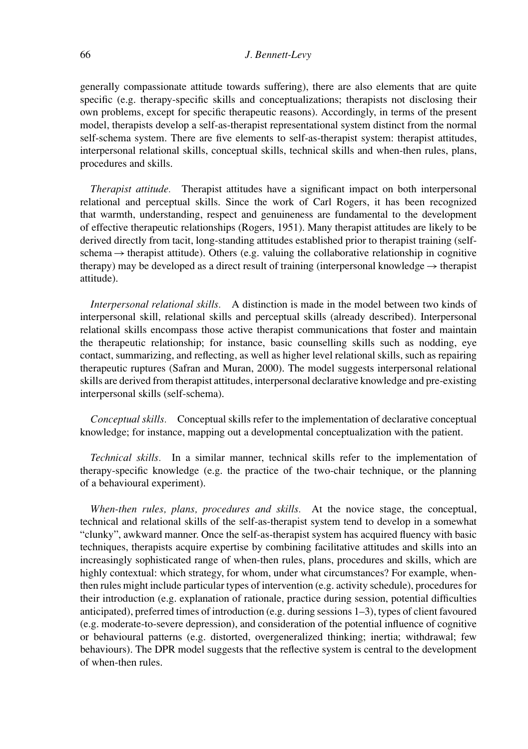generally compassionate attitude towards suffering), there are also elements that are quite specific (e.g. therapy-specific skills and conceptualizations; therapists not disclosing their own problems, except for specific therapeutic reasons). Accordingly, in terms of the present model, therapists develop a self-as-therapist representational system distinct from the normal self-schema system. There are five elements to self-as-therapist system: therapist attitudes, interpersonal relational skills, conceptual skills, technical skills and when-then rules, plans, procedures and skills.

*Therapist attitude.* Therapist attitudes have a significant impact on both interpersonal relational and perceptual skills. Since the work of Carl Rogers, it has been recognized that warmth, understanding, respect and genuineness are fundamental to the development of effective therapeutic relationships (Rogers, 1951). Many therapist attitudes are likely to be derived directly from tacit, long-standing attitudes established prior to therapist training (selfschema $\rightarrow$  therapist attitude). Others (e.g. valuing the collaborative relationship in cognitive therapy) may be developed as a direct result of training (interpersonal knowledge  $\rightarrow$  therapist attitude).

*Interpersonal relational skills.* A distinction is made in the model between two kinds of interpersonal skill, relational skills and perceptual skills (already described). Interpersonal relational skills encompass those active therapist communications that foster and maintain the therapeutic relationship; for instance, basic counselling skills such as nodding, eye contact, summarizing, and reflecting, as well as higher level relational skills, such as repairing therapeutic ruptures (Safran and Muran, 2000). The model suggests interpersonal relational skills are derived from therapist attitudes, interpersonal declarative knowledge and pre-existing interpersonal skills (self-schema).

*Conceptual skills.* Conceptual skills refer to the implementation of declarative conceptual knowledge; for instance, mapping out a developmental conceptualization with the patient.

*Technical skills.* In a similar manner, technical skills refer to the implementation of therapy-specific knowledge (e.g. the practice of the two-chair technique, or the planning of a behavioural experiment).

*When-then rules, plans, procedures and skills.* At the novice stage, the conceptual, technical and relational skills of the self-as-therapist system tend to develop in a somewhat "clunky", awkward manner. Once the self-as-therapist system has acquired fluency with basic techniques, therapists acquire expertise by combining facilitative attitudes and skills into an increasingly sophisticated range of when-then rules, plans, procedures and skills, which are highly contextual: which strategy, for whom, under what circumstances? For example, whenthen rules might include particular types of intervention (e.g. activity schedule), procedures for their introduction (e.g. explanation of rationale, practice during session, potential difficulties anticipated), preferred times of introduction (e.g. during sessions 1–3), types of client favoured (e.g. moderate-to-severe depression), and consideration of the potential influence of cognitive or behavioural patterns (e.g. distorted, overgeneralized thinking; inertia; withdrawal; few behaviours). The DPR model suggests that the reflective system is central to the development of when-then rules.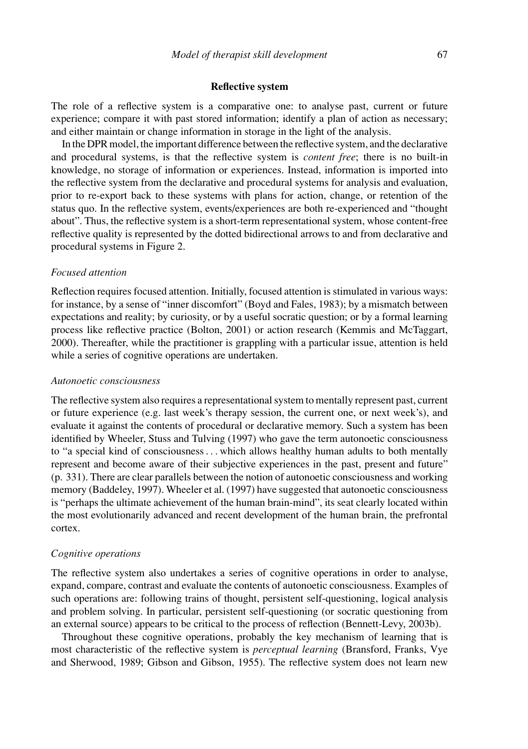#### **Reflective system**

The role of a reflective system is a comparative one: to analyse past, current or future experience; compare it with past stored information; identify a plan of action as necessary; and either maintain or change information in storage in the light of the analysis.

In the DPR model, the important difference between the reflective system, and the declarative and procedural systems, is that the reflective system is *content free*; there is no built-in knowledge, no storage of information or experiences. Instead, information is imported into the reflective system from the declarative and procedural systems for analysis and evaluation, prior to re-export back to these systems with plans for action, change, or retention of the status quo. In the reflective system, events/experiences are both re-experienced and "thought about". Thus, the reflective system is a short-term representational system, whose content-free reflective quality is represented by the dotted bidirectional arrows to and from declarative and procedural systems in Figure 2.

### *Focused attention*

Reflection requires focused attention. Initially, focused attention is stimulated in various ways: for instance, by a sense of "inner discomfort" (Boyd and Fales, 1983); by a mismatch between expectations and reality; by curiosity, or by a useful socratic question; or by a formal learning process like reflective practice (Bolton, 2001) or action research (Kemmis and McTaggart, 2000). Thereafter, while the practitioner is grappling with a particular issue, attention is held while a series of cognitive operations are undertaken.

#### *Autonoetic consciousness*

The reflective system also requires a representational system to mentally represent past, current or future experience (e.g. last week's therapy session, the current one, or next week's), and evaluate it against the contents of procedural or declarative memory. Such a system has been identified by Wheeler, Stuss and Tulving (1997) who gave the term autonoetic consciousness to "a special kind of consciousness*...* which allows healthy human adults to both mentally represent and become aware of their subjective experiences in the past, present and future" (p. 331). There are clear parallels between the notion of autonoetic consciousness and working memory (Baddeley, 1997). Wheeler et al. (1997) have suggested that autonoetic consciousness is "perhaps the ultimate achievement of the human brain-mind", its seat clearly located within the most evolutionarily advanced and recent development of the human brain, the prefrontal cortex.

# *Cognitive operations*

The reflective system also undertakes a series of cognitive operations in order to analyse, expand, compare, contrast and evaluate the contents of autonoetic consciousness. Examples of such operations are: following trains of thought, persistent self-questioning, logical analysis and problem solving. In particular, persistent self-questioning (or socratic questioning from an external source) appears to be critical to the process of reflection (Bennett-Levy, 2003b).

Throughout these cognitive operations, probably the key mechanism of learning that is most characteristic of the reflective system is *perceptual learning* (Bransford, Franks, Vye and Sherwood, 1989; Gibson and Gibson, 1955). The reflective system does not learn new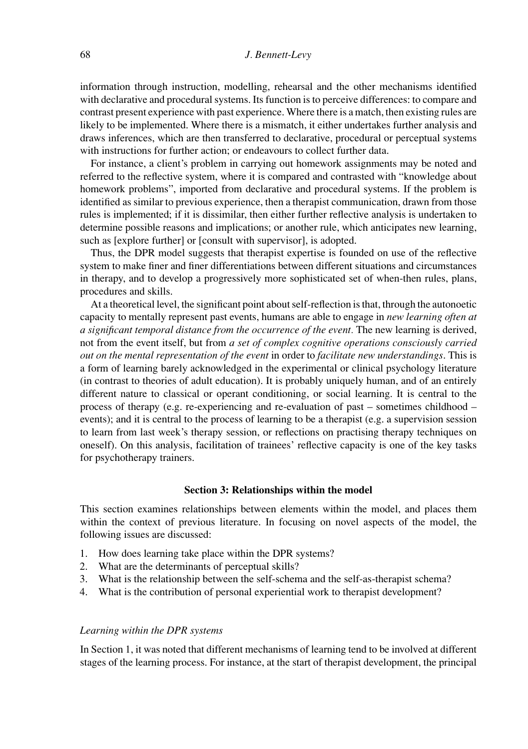information through instruction, modelling, rehearsal and the other mechanisms identified with declarative and procedural systems. Its function is to perceive differences: to compare and contrast present experience with past experience. Where there is a match, then existing rules are likely to be implemented. Where there is a mismatch, it either undertakes further analysis and draws inferences, which are then transferred to declarative, procedural or perceptual systems with instructions for further action; or endeavours to collect further data.

For instance, a client's problem in carrying out homework assignments may be noted and referred to the reflective system, where it is compared and contrasted with "knowledge about homework problems", imported from declarative and procedural systems. If the problem is identified as similar to previous experience, then a therapist communication, drawn from those rules is implemented; if it is dissimilar, then either further reflective analysis is undertaken to determine possible reasons and implications; or another rule, which anticipates new learning, such as [explore further] or [consult with supervisor], is adopted.

Thus, the DPR model suggests that therapist expertise is founded on use of the reflective system to make finer and finer differentiations between different situations and circumstances in therapy, and to develop a progressively more sophisticated set of when-then rules, plans, procedures and skills.

At a theoretical level, the significant point about self-reflection is that, through the autonoetic capacity to mentally represent past events, humans are able to engage in *new learning often at a significant temporal distance from the occurrence of the event.* The new learning is derived, not from the event itself, but from *a set of complex cognitive operations consciously carried out on the mental representation of the event* in order to *facilitate new understandings*. This is a form of learning barely acknowledged in the experimental or clinical psychology literature (in contrast to theories of adult education). It is probably uniquely human, and of an entirely different nature to classical or operant conditioning, or social learning. It is central to the process of therapy (e.g. re-experiencing and re-evaluation of past – sometimes childhood – events); and it is central to the process of learning to be a therapist (e.g. a supervision session to learn from last week's therapy session, or reflections on practising therapy techniques on oneself). On this analysis, facilitation of trainees' reflective capacity is one of the key tasks for psychotherapy trainers.

# **Section 3: Relationships within the model**

This section examines relationships between elements within the model, and places them within the context of previous literature. In focusing on novel aspects of the model, the following issues are discussed:

- 1. How does learning take place within the DPR systems?
- 2. What are the determinants of perceptual skills?
- 3. What is the relationship between the self-schema and the self-as-therapist schema?
- 4. What is the contribution of personal experiential work to therapist development?

#### *Learning within the DPR systems*

In Section 1, it was noted that different mechanisms of learning tend to be involved at different stages of the learning process. For instance, at the start of therapist development, the principal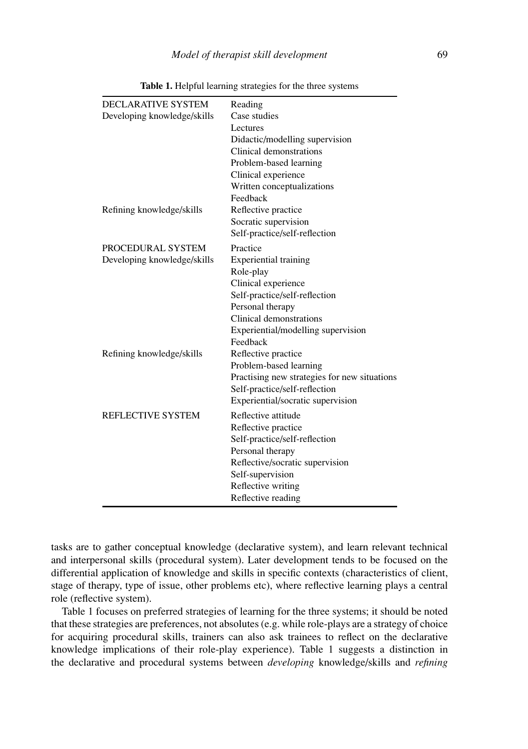| <b>DECLARATIVE SYSTEM</b>   | Reading                                      |
|-----------------------------|----------------------------------------------|
| Developing knowledge/skills | Case studies                                 |
|                             | Lectures                                     |
|                             | Didactic/modelling supervision               |
|                             | Clinical demonstrations                      |
|                             | Problem-based learning                       |
|                             | Clinical experience                          |
|                             | Written conceptualizations                   |
|                             | Feedback                                     |
| Refining knowledge/skills   | Reflective practice                          |
|                             | Socratic supervision                         |
|                             | Self-practice/self-reflection                |
| PROCEDURAL SYSTEM           | Practice                                     |
| Developing knowledge/skills | Experiential training                        |
|                             | Role-play                                    |
|                             | Clinical experience                          |
|                             | Self-practice/self-reflection                |
|                             | Personal therapy                             |
|                             | Clinical demonstrations                      |
|                             | Experiential/modelling supervision           |
|                             | Feedback                                     |
| Refining knowledge/skills   | Reflective practice                          |
|                             | Problem-based learning                       |
|                             | Practising new strategies for new situations |
|                             | Self-practice/self-reflection                |
|                             | Experiential/socratic supervision            |
| REFLECTIVE SYSTEM           | Reflective attitude                          |
|                             | Reflective practice                          |
|                             | Self-practice/self-reflection                |
|                             | Personal therapy                             |
|                             | Reflective/socratic supervision              |
|                             | Self-supervision                             |
|                             | Reflective writing                           |
|                             | Reflective reading                           |

**Table 1.** Helpful learning strategies for the three systems

tasks are to gather conceptual knowledge (declarative system), and learn relevant technical and interpersonal skills (procedural system). Later development tends to be focused on the differential application of knowledge and skills in specific contexts (characteristics of client, stage of therapy, type of issue, other problems etc), where reflective learning plays a central role (reflective system).

Table 1 focuses on preferred strategies of learning for the three systems; it should be noted that these strategies are preferences, not absolutes (e.g. while role-plays are a strategy of choice for acquiring procedural skills, trainers can also ask trainees to reflect on the declarative knowledge implications of their role-play experience). Table 1 suggests a distinction in the declarative and procedural systems between *developing* knowledge/skills and *refining*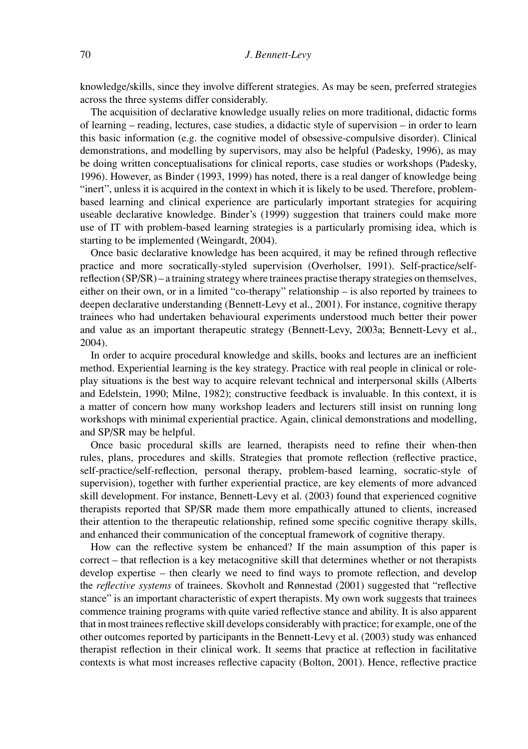knowledge/skills, since they involve different strategies. As may be seen, preferred strategies across the three systems differ considerably.

The acquisition of declarative knowledge usually relies on more traditional, didactic forms of learning – reading, lectures, case studies, a didactic style of supervision – in order to learn this basic information (e.g. the cognitive model of obsessive-compulsive disorder). Clinical demonstrations, and modelling by supervisors, may also be helpful (Padesky, 1996), as may be doing written conceptualisations for clinical reports, case studies or workshops (Padesky, 1996). However, as Binder (1993, 1999) has noted, there is a real danger of knowledge being "inert", unless it is acquired in the context in which it is likely to be used. Therefore, problembased learning and clinical experience are particularly important strategies for acquiring useable declarative knowledge. Binder's (1999) suggestion that trainers could make more use of IT with problem-based learning strategies is a particularly promising idea, which is starting to be implemented (Weingardt, 2004).

Once basic declarative knowledge has been acquired, it may be refined through reflective practice and more socratically-styled supervision (Overholser, 1991). Self-practice/selfreflection (SP/SR) – a training strategy where trainees practise therapy strategies on themselves, either on their own, or in a limited "co-therapy" relationship – is also reported by trainees to deepen declarative understanding (Bennett-Levy et al., 2001). For instance, cognitive therapy trainees who had undertaken behavioural experiments understood much better their power and value as an important therapeutic strategy (Bennett-Levy, 2003a; Bennett-Levy et al., 2004).

In order to acquire procedural knowledge and skills, books and lectures are an inefficient method. Experiential learning is the key strategy. Practice with real people in clinical or roleplay situations is the best way to acquire relevant technical and interpersonal skills (Alberts and Edelstein, 1990; Milne, 1982); constructive feedback is invaluable. In this context, it is a matter of concern how many workshop leaders and lecturers still insist on running long workshops with minimal experiential practice. Again, clinical demonstrations and modelling, and SP/SR may be helpful.

Once basic procedural skills are learned, therapists need to refine their when-then rules, plans, procedures and skills. Strategies that promote reflection (reflective practice, self-practice/self-reflection, personal therapy, problem-based learning, socratic-style of supervision), together with further experiential practice, are key elements of more advanced skill development. For instance, Bennett-Levy et al. (2003) found that experienced cognitive therapists reported that SP/SR made them more empathically attuned to clients, increased their attention to the therapeutic relationship, refined some specific cognitive therapy skills, and enhanced their communication of the conceptual framework of cognitive therapy.

How can the reflective system be enhanced? If the main assumption of this paper is correct – that reflection is a key metacognitive skill that determines whether or not therapists develop expertise – then clearly we need to find ways to promote reflection, and develop the *reflective systems* of trainees. Skovholt and Rønnestad (2001) suggested that "reflective stance" is an important characteristic of expert therapists. My own work suggests that trainees commence training programs with quite varied reflective stance and ability. It is also apparent that in most trainees reflective skill develops considerably with practice; for example, one of the other outcomes reported by participants in the Bennett-Levy et al. (2003) study was enhanced therapist reflection in their clinical work. It seems that practice at reflection in facilitative contexts is what most increases reflective capacity (Bolton, 2001). Hence, reflective practice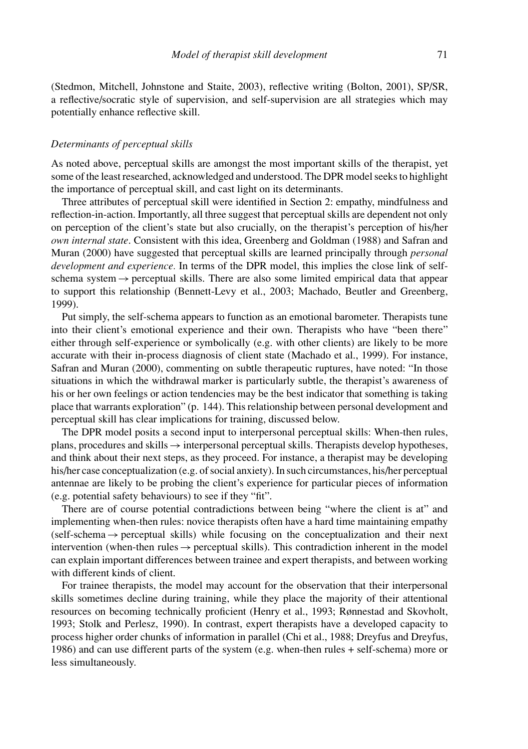(Stedmon, Mitchell, Johnstone and Staite, 2003), reflective writing (Bolton, 2001), SP/SR, a reflective/socratic style of supervision, and self-supervision are all strategies which may potentially enhance reflective skill.

# *Determinants of perceptual skills*

As noted above, perceptual skills are amongst the most important skills of the therapist, yet some of the least researched, acknowledged and understood. The DPR model seeks to highlight the importance of perceptual skill, and cast light on its determinants.

Three attributes of perceptual skill were identified in Section 2: empathy, mindfulness and reflection-in-action. Importantly, all three suggest that perceptual skills are dependent not only on perception of the client's state but also crucially, on the therapist's perception of his/her *own internal state*. Consistent with this idea, Greenberg and Goldman (1988) and Safran and Muran (2000) have suggested that perceptual skills are learned principally through *personal development and experience.* In terms of the DPR model, this implies the close link of selfschema system → perceptual skills. There are also some limited empirical data that appear to support this relationship (Bennett-Levy et al., 2003; Machado, Beutler and Greenberg, 1999).

Put simply, the self-schema appears to function as an emotional barometer. Therapists tune into their client's emotional experience and their own. Therapists who have "been there" either through self-experience or symbolically (e.g. with other clients) are likely to be more accurate with their in-process diagnosis of client state (Machado et al., 1999). For instance, Safran and Muran (2000), commenting on subtle therapeutic ruptures, have noted: "In those situations in which the withdrawal marker is particularly subtle, the therapist's awareness of his or her own feelings or action tendencies may be the best indicator that something is taking place that warrants exploration" (p. 144). This relationship between personal development and perceptual skill has clear implications for training, discussed below.

The DPR model posits a second input to interpersonal perceptual skills: When-then rules, plans, procedures and skills  $\rightarrow$  interpersonal perceptual skills. Therapists develop hypotheses, and think about their next steps, as they proceed. For instance, a therapist may be developing his/her case conceptualization (e.g. of social anxiety). In such circumstances, his/her perceptual antennae are likely to be probing the client's experience for particular pieces of information (e.g. potential safety behaviours) to see if they "fit".

There are of course potential contradictions between being "where the client is at" and implementing when-then rules: novice therapists often have a hard time maintaining empathy (self-schema→perceptual skills) while focusing on the conceptualization and their next intervention (when-then rules  $\rightarrow$  perceptual skills). This contradiction inherent in the model can explain important differences between trainee and expert therapists, and between working with different kinds of client.

For trainee therapists, the model may account for the observation that their interpersonal skills sometimes decline during training, while they place the majority of their attentional resources on becoming technically proficient (Henry et al., 1993; Rønnestad and Skovholt, 1993; Stolk and Perlesz, 1990). In contrast, expert therapists have a developed capacity to process higher order chunks of information in parallel (Chi et al., 1988; Dreyfus and Dreyfus, 1986) and can use different parts of the system (e.g. when-then rules + self-schema) more or less simultaneously.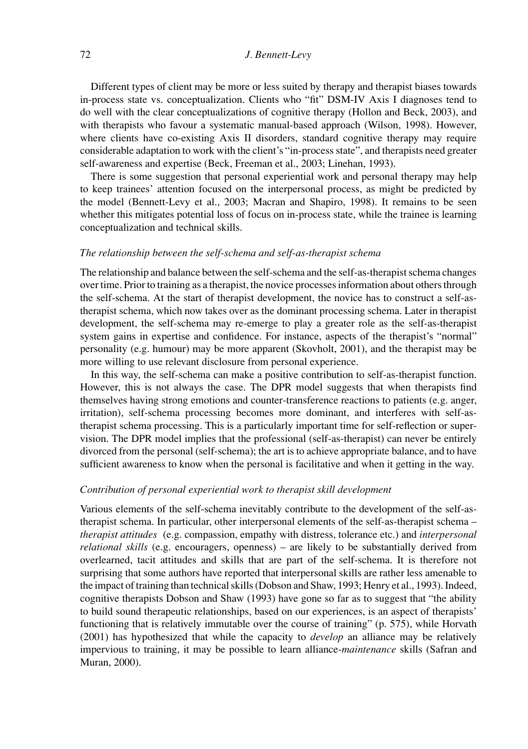# 72 *J. Bennett-Levy*

Different types of client may be more or less suited by therapy and therapist biases towards in-process state vs. conceptualization. Clients who "fit" DSM-IV Axis I diagnoses tend to do well with the clear conceptualizations of cognitive therapy (Hollon and Beck, 2003), and with therapists who favour a systematic manual-based approach (Wilson, 1998). However, where clients have co-existing Axis II disorders, standard cognitive therapy may require considerable adaptation to work with the client's "in-process state", and therapists need greater self-awareness and expertise (Beck, Freeman et al., 2003; Linehan, 1993).

There is some suggestion that personal experiential work and personal therapy may help to keep trainees' attention focused on the interpersonal process, as might be predicted by the model (Bennett-Levy et al., 2003; Macran and Shapiro, 1998). It remains to be seen whether this mitigates potential loss of focus on in-process state, while the trainee is learning conceptualization and technical skills.

# *The relationship between the self-schema and self-as-therapist schema*

The relationship and balance between the self-schema and the self-as-therapist schema changes over time. Prior to training as a therapist, the novice processes information about others through the self-schema. At the start of therapist development, the novice has to construct a self-astherapist schema, which now takes over as the dominant processing schema. Later in therapist development, the self-schema may re-emerge to play a greater role as the self-as-therapist system gains in expertise and confidence. For instance, aspects of the therapist's "normal" personality (e.g. humour) may be more apparent (Skovholt, 2001), and the therapist may be more willing to use relevant disclosure from personal experience.

In this way, the self-schema can make a positive contribution to self-as-therapist function. However, this is not always the case. The DPR model suggests that when therapists find themselves having strong emotions and counter-transference reactions to patients (e.g. anger, irritation), self-schema processing becomes more dominant, and interferes with self-astherapist schema processing. This is a particularly important time for self-reflection or supervision. The DPR model implies that the professional (self-as-therapist) can never be entirely divorced from the personal (self-schema); the art is to achieve appropriate balance, and to have sufficient awareness to know when the personal is facilitative and when it getting in the way.

# *Contribution of personal experiential work to therapist skill development*

Various elements of the self-schema inevitably contribute to the development of the self-astherapist schema. In particular, other interpersonal elements of the self-as-therapist schema – *therapist attitudes* (e.g. compassion, empathy with distress, tolerance etc.) and *interpersonal relational skills* (e.g. encouragers, openness) – are likely to be substantially derived from overlearned, tacit attitudes and skills that are part of the self-schema. It is therefore not surprising that some authors have reported that interpersonal skills are rather less amenable to the impact of training than technical skills (Dobson and Shaw, 1993; Henry et al., 1993). Indeed, cognitive therapists Dobson and Shaw (1993) have gone so far as to suggest that "the ability to build sound therapeutic relationships, based on our experiences, is an aspect of therapists' functioning that is relatively immutable over the course of training" (p. 575), while Horvath (2001) has hypothesized that while the capacity to *develop* an alliance may be relatively impervious to training, it may be possible to learn alliance-*maintenance* skills (Safran and Muran, 2000).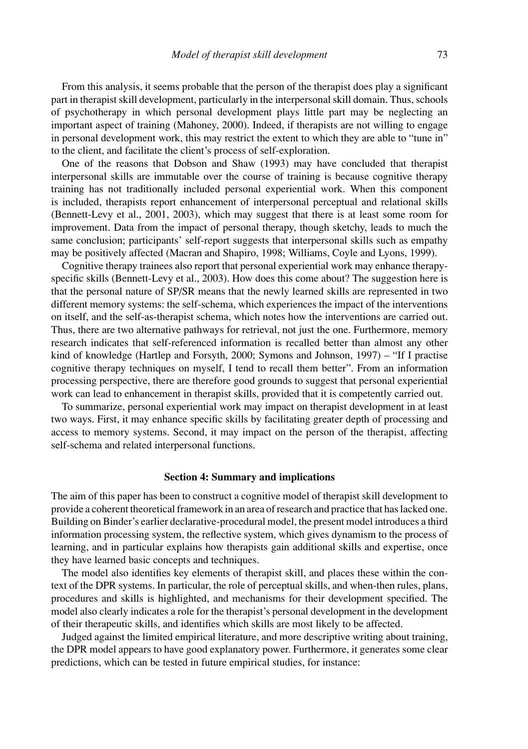From this analysis, it seems probable that the person of the therapist does play a significant part in therapist skill development, particularly in the interpersonal skill domain. Thus, schools of psychotherapy in which personal development plays little part may be neglecting an important aspect of training (Mahoney, 2000). Indeed, if therapists are not willing to engage in personal development work, this may restrict the extent to which they are able to "tune in" to the client, and facilitate the client's process of self-exploration.

One of the reasons that Dobson and Shaw (1993) may have concluded that therapist interpersonal skills are immutable over the course of training is because cognitive therapy training has not traditionally included personal experiential work. When this component is included, therapists report enhancement of interpersonal perceptual and relational skills (Bennett-Levy et al., 2001, 2003), which may suggest that there is at least some room for improvement. Data from the impact of personal therapy, though sketchy, leads to much the same conclusion; participants' self-report suggests that interpersonal skills such as empathy may be positively affected (Macran and Shapiro, 1998; Williams, Coyle and Lyons, 1999).

Cognitive therapy trainees also report that personal experiential work may enhance therapyspecific skills (Bennett-Levy et al., 2003). How does this come about? The suggestion here is that the personal nature of SP/SR means that the newly learned skills are represented in two different memory systems: the self-schema, which experiences the impact of the interventions on itself, and the self-as-therapist schema, which notes how the interventions are carried out. Thus, there are two alternative pathways for retrieval, not just the one. Furthermore, memory research indicates that self-referenced information is recalled better than almost any other kind of knowledge (Hartlep and Forsyth, 2000; Symons and Johnson, 1997) – "If I practise cognitive therapy techniques on myself, I tend to recall them better". From an information processing perspective, there are therefore good grounds to suggest that personal experiential work can lead to enhancement in therapist skills, provided that it is competently carried out.

To summarize, personal experiential work may impact on therapist development in at least two ways. First, it may enhance specific skills by facilitating greater depth of processing and access to memory systems. Second, it may impact on the person of the therapist, affecting self-schema and related interpersonal functions.

#### **Section 4: Summary and implications**

The aim of this paper has been to construct a cognitive model of therapist skill development to provide a coherent theoretical framework in an area of research and practice that has lacked one. Building on Binder's earlier declarative-procedural model, the present model introduces a third information processing system, the reflective system, which gives dynamism to the process of learning, and in particular explains how therapists gain additional skills and expertise, once they have learned basic concepts and techniques.

The model also identifies key elements of therapist skill, and places these within the context of the DPR systems. In particular, the role of perceptual skills, and when-then rules, plans, procedures and skills is highlighted, and mechanisms for their development specified. The model also clearly indicates a role for the therapist's personal development in the development of their therapeutic skills, and identifies which skills are most likely to be affected.

Judged against the limited empirical literature, and more descriptive writing about training, the DPR model appears to have good explanatory power. Furthermore, it generates some clear predictions, which can be tested in future empirical studies, for instance: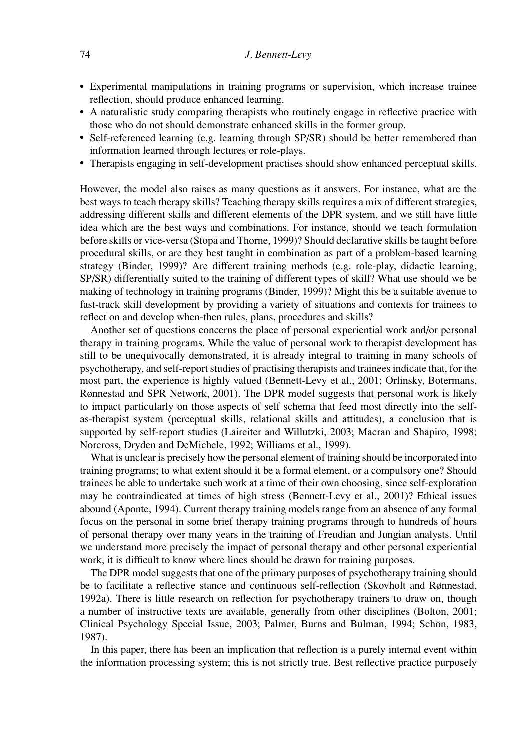- Experimental manipulations in training programs or supervision, which increase trainee reflection, should produce enhanced learning.
- A naturalistic study comparing therapists who routinely engage in reflective practice with those who do not should demonstrate enhanced skills in the former group.
- Self-referenced learning (e.g. learning through SP/SR) should be better remembered than information learned through lectures or role-plays.
- Therapists engaging in self-development practises should show enhanced perceptual skills.

However, the model also raises as many questions as it answers. For instance, what are the best ways to teach therapy skills? Teaching therapy skills requires a mix of different strategies, addressing different skills and different elements of the DPR system, and we still have little idea which are the best ways and combinations. For instance, should we teach formulation before skills or vice-versa (Stopa and Thorne, 1999)? Should declarative skills be taught before procedural skills, or are they best taught in combination as part of a problem-based learning strategy (Binder, 1999)? Are different training methods (e.g. role-play, didactic learning, SP/SR) differentially suited to the training of different types of skill? What use should we be making of technology in training programs (Binder, 1999)? Might this be a suitable avenue to fast-track skill development by providing a variety of situations and contexts for trainees to reflect on and develop when-then rules, plans, procedures and skills?

Another set of questions concerns the place of personal experiential work and/or personal therapy in training programs. While the value of personal work to therapist development has still to be unequivocally demonstrated, it is already integral to training in many schools of psychotherapy, and self-report studies of practising therapists and trainees indicate that, for the most part, the experience is highly valued (Bennett-Levy et al., 2001; Orlinsky, Botermans, Rønnestad and SPR Network, 2001). The DPR model suggests that personal work is likely to impact particularly on those aspects of self schema that feed most directly into the selfas-therapist system (perceptual skills, relational skills and attitudes), a conclusion that is supported by self-report studies (Laireiter and Willutzki, 2003; Macran and Shapiro, 1998; Norcross, Dryden and DeMichele, 1992; Williams et al., 1999).

What is unclear is precisely how the personal element of training should be incorporated into training programs; to what extent should it be a formal element, or a compulsory one? Should trainees be able to undertake such work at a time of their own choosing, since self-exploration may be contraindicated at times of high stress (Bennett-Levy et al., 2001)? Ethical issues abound (Aponte, 1994). Current therapy training models range from an absence of any formal focus on the personal in some brief therapy training programs through to hundreds of hours of personal therapy over many years in the training of Freudian and Jungian analysts. Until we understand more precisely the impact of personal therapy and other personal experiential work, it is difficult to know where lines should be drawn for training purposes.

The DPR model suggests that one of the primary purposes of psychotherapy training should be to facilitate a reflective stance and continuous self-reflection (Skovholt and Rønnestad, 1992a). There is little research on reflection for psychotherapy trainers to draw on, though a number of instructive texts are available, generally from other disciplines (Bolton, 2001; Clinical Psychology Special Issue, 2003; Palmer, Burns and Bulman, 1994; Schön, 1983, 1987).

In this paper, there has been an implication that reflection is a purely internal event within the information processing system; this is not strictly true. Best reflective practice purposely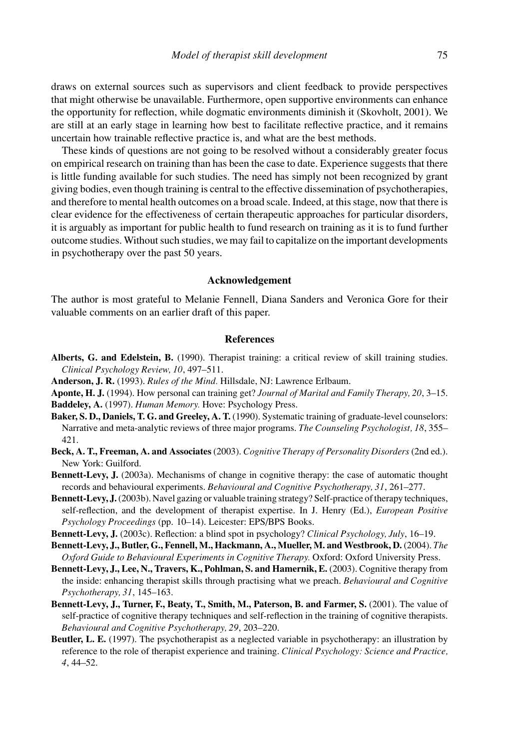draws on external sources such as supervisors and client feedback to provide perspectives that might otherwise be unavailable. Furthermore, open supportive environments can enhance the opportunity for reflection, while dogmatic environments diminish it (Skovholt, 2001). We are still at an early stage in learning how best to facilitate reflective practice, and it remains uncertain how trainable reflective practice is, and what are the best methods.

These kinds of questions are not going to be resolved without a considerably greater focus on empirical research on training than has been the case to date. Experience suggests that there is little funding available for such studies. The need has simply not been recognized by grant giving bodies, even though training is central to the effective dissemination of psychotherapies, and therefore to mental health outcomes on a broad scale. Indeed, at this stage, now that there is clear evidence for the effectiveness of certain therapeutic approaches for particular disorders, it is arguably as important for public health to fund research on training as it is to fund further outcome studies. Without such studies, we may fail to capitalize on the important developments in psychotherapy over the past 50 years.

#### **Acknowledgement**

The author is most grateful to Melanie Fennell, Diana Sanders and Veronica Gore for their valuable comments on an earlier draft of this paper.

# **References**

- **Alberts, G. and Edelstein, B.** (1990). Therapist training: a critical review of skill training studies. *Clinical Psychology Review, 10*, 497–511.
- **Anderson, J. R.** (1993). *Rules of the Mind.* Hillsdale, NJ: Lawrence Erlbaum.
- **Aponte, H. J.** (1994). How personal can training get? *Journal of Marital and Family Therapy, 20*, 3–15. **Baddeley, A.** (1997). *Human Memory.* Hove: Psychology Press.
- **Baker, S. D., Daniels, T. G. and Greeley, A. T.** (1990). Systematic training of graduate-level counselors: Narrative and meta-analytic reviews of three major programs. *The Counseling Psychologist, 18*, 355– 421.
- **Beck, A. T., Freeman, A. and Associates** (2003). *Cognitive Therapy of Personality Disorders* (2nd ed.). New York: Guilford.
- **Bennett-Levy, J.** (2003a). Mechanisms of change in cognitive therapy: the case of automatic thought records and behavioural experiments. *Behavioural and Cognitive Psychotherapy, 31*, 261–277.
- **Bennett-Levy, J.**(2003b). Navel gazing or valuable training strategy? Self-practice of therapy techniques, self-reflection, and the development of therapist expertise. In J. Henry (Ed.), *European Positive Psychology Proceedings* (pp. 10–14). Leicester: EPS/BPS Books.
- **Bennett-Levy, J.** (2003c). Reflection: a blind spot in psychology? *Clinical Psychology, July*, 16–19.
- **Bennett-Levy, J., Butler, G., Fennell, M., Hackmann, A., Mueller, M. and Westbrook, D.** (2004). *The Oxford Guide to Behavioural Experiments in Cognitive Therapy.* Oxford: Oxford University Press.
- **Bennett-Levy, J., Lee, N., Travers, K., Pohlman, S. and Hamernik, E.** (2003). Cognitive therapy from the inside: enhancing therapist skills through practising what we preach. *Behavioural and Cognitive Psychotherapy, 31*, 145–163.
- **Bennett-Levy, J., Turner, F., Beaty, T., Smith, M., Paterson, B. and Farmer, S.** (2001). The value of self-practice of cognitive therapy techniques and self-reflection in the training of cognitive therapists. *Behavioural and Cognitive Psychotherapy, 29*, 203–220.
- **Beutler, L. E.** (1997). The psychotherapist as a neglected variable in psychotherapy: an illustration by reference to the role of therapist experience and training. *Clinical Psychology: Science and Practice, 4*, 44–52.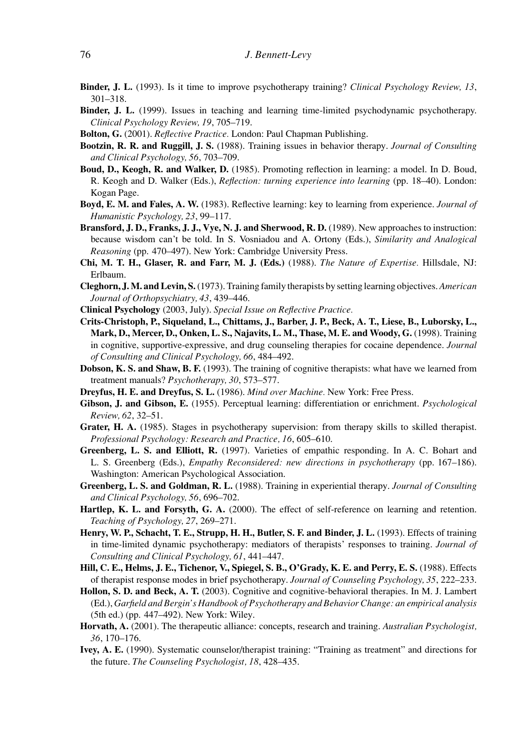- **Binder, J. L.** (1993). Is it time to improve psychotherapy training? *Clinical Psychology Review, 13*, 301–318.
- **Binder, J. L.** (1999). Issues in teaching and learning time-limited psychodynamic psychotherapy. *Clinical Psychology Review, 19*, 705–719.
- **Bolton, G.** (2001). *Reflective Practice.* London: Paul Chapman Publishing.
- **Bootzin, R. R. and Ruggill, J. S.** (1988). Training issues in behavior therapy. *Journal of Consulting and Clinical Psychology, 56*, 703–709.
- **Boud, D., Keogh, R. and Walker, D.** (1985). Promoting reflection in learning: a model. In D. Boud, R. Keogh and D. Walker (Eds.), *Reflection: turning experience into learning* (pp. 18–40). London: Kogan Page.
- **Boyd, E. M. and Fales, A. W.** (1983). Reflective learning: key to learning from experience. *Journal of Humanistic Psychology, 23*, 99–117.
- **Bransford, J. D., Franks, J. J., Vye, N. J. and Sherwood, R. D.** (1989). New approaches to instruction: because wisdom can't be told. In S. Vosniadou and A. Ortony (Eds.), *Similarity and Analogical Reasoning* (pp. 470–497). New York: Cambridge University Press.
- **Chi, M. T. H., Glaser, R. and Farr, M. J. (Eds.)** (1988). *The Nature of Expertise.* Hillsdale, NJ: Erlbaum.
- **Cleghorn, J. M. and Levin, S.**(1973). Training family therapists by setting learning objectives. *American Journal of Orthopsychiatry, 43*, 439–446.
- **Clinical Psychology** (2003, July). *Special Issue on Reflective Practice.*
- **Crits-Christoph, P., Siqueland, L., Chittams, J., Barber, J. P., Beck, A. T., Liese, B., Luborsky, L., Mark, D., Mercer, D., Onken, L. S., Najavits, L. M., Thase, M. E. and Woody, G.** (1998). Training in cognitive, supportive-expressive, and drug counseling therapies for cocaine dependence. *Journal of Consulting and Clinical Psychology, 66*, 484–492.
- **Dobson, K. S. and Shaw, B. F.** (1993). The training of cognitive therapists: what have we learned from treatment manuals? *Psychotherapy, 30*, 573–577.
- **Dreyfus, H. E. and Dreyfus, S. L.** (1986). *Mind over Machine.* New York: Free Press.
- **Gibson, J. and Gibson, E.** (1955). Perceptual learning: differentiation or enrichment. *Psychological Review, 62*, 32–51.
- **Grater, H. A.** (1985). Stages in psychotherapy supervision: from therapy skills to skilled therapist. *Professional Psychology: Research and Practice, 16*, 605–610.
- **Greenberg, L. S. and Elliott, R.** (1997). Varieties of empathic responding. In A. C. Bohart and L. S. Greenberg (Eds.), *Empathy Reconsidered: new directions in psychotherapy* (pp. 167–186). Washington: American Psychological Association.
- **Greenberg, L. S. and Goldman, R. L.** (1988). Training in experiential therapy. *Journal of Consulting and Clinical Psychology, 56*, 696–702.
- **Hartlep, K. L. and Forsyth, G. A.** (2000). The effect of self-reference on learning and retention. *Teaching of Psychology, 27*, 269–271.
- **Henry, W. P., Schacht, T. E., Strupp, H. H., Butler, S. F. and Binder, J. L.** (1993). Effects of training in time-limited dynamic psychotherapy: mediators of therapists' responses to training. *Journal of Consulting and Clinical Psychology, 61*, 441–447.
- **Hill, C. E., Helms, J. E., Tichenor, V., Spiegel, S. B., O'Grady, K. E. and Perry, E. S.** (1988). Effects of therapist response modes in brief psychotherapy. *Journal of Counseling Psychology, 35*, 222–233.
- **Hollon, S. D. and Beck, A. T.** (2003). Cognitive and cognitive-behavioral therapies. In M. J. Lambert (Ed.), *Garfield and Bergin's Handbook of Psychotherapy and Behavior Change: an empirical analysis* (5th ed.) (pp. 447–492). New York: Wiley.
- **Horvath, A.** (2001). The therapeutic alliance: concepts, research and training. *Australian Psychologist, 36*, 170–176.
- **Ivey, A. E.** (1990). Systematic counselor/therapist training: "Training as treatment" and directions for the future. *The Counseling Psychologist, 18*, 428–435.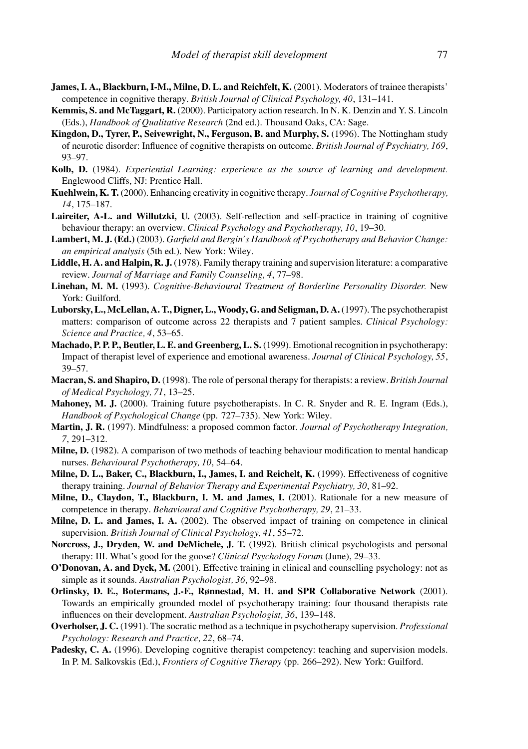- **James, I. A., Blackburn, I-M., Milne, D. L. and Reichfelt, K.** (2001). Moderators of trainee therapists' competence in cognitive therapy. *British Journal of Clinical Psychology, 40*, 131–141.
- **Kemmis, S. and McTaggart, R.** (2000). Participatory action research. In N. K. Denzin and Y. S. Lincoln (Eds.), *Handbook of Qualitative Research* (2nd ed.). Thousand Oaks, CA: Sage.
- **Kingdon, D., Tyrer, P., Seivewright, N., Ferguson, B. and Murphy, S.** (1996). The Nottingham study of neurotic disorder: Influence of cognitive therapists on outcome. *British Journal of Psychiatry, 169*, 93–97.
- **Kolb, D.** (1984). *Experiential Learning: experience as the source of learning and development.* Englewood Cliffs, NJ: Prentice Hall.
- **Kuehlwein, K. T.** (2000). Enhancing creativity in cognitive therapy. *Journal of Cognitive Psychotherapy, 14*, 175–187.
- **Laireiter, A-L. and Willutzki, U.** (2003). Self-reflection and self-practice in training of cognitive behaviour therapy: an overview. *Clinical Psychology and Psychotherapy, 10*, 19–30.
- **Lambert, M. J. (Ed.)** (2003). *Garfield and Bergin's Handbook of Psychotherapy and Behavior Change: an empirical analysis* (5th ed.). New York: Wiley.
- **Liddle, H. A. and Halpin, R. J.** (1978). Family therapy training and supervision literature: a comparative review. *Journal of Marriage and Family Counseling, 4*, 77–98.
- **Linehan, M. M.** (1993). *Cognitive-Behavioural Treatment of Borderline Personality Disorder.* New York: Guilford.
- **Luborsky, L., McLellan, A. T., Digner, L.,Woody, G. and Seligman, D. A.**(1997). The psychotherapist matters: comparison of outcome across 22 therapists and 7 patient samples. *Clinical Psychology: Science and Practice, 4*, 53–65.
- **Machado, P. P. P., Beutler, L. E. and Greenberg, L. S.** (1999). Emotional recognition in psychotherapy: Impact of therapist level of experience and emotional awareness. *Journal of Clinical Psychology, 55*, 39–57.
- **Macran, S. and Shapiro, D.** (1998). The role of personal therapy for therapists: a review. *British Journal of Medical Psychology, 71*, 13–25.
- **Mahoney, M. J.** (2000). Training future psychotherapists. In C. R. Snyder and R. E. Ingram (Eds.), *Handbook of Psychological Change* (pp. 727–735). New York: Wiley.
- **Martin, J. R.** (1997). Mindfulness: a proposed common factor. *Journal of Psychotherapy Integration, 7*, 291–312.
- **Milne, D.** (1982). A comparison of two methods of teaching behaviour modification to mental handicap nurses. *Behavioural Psychotherapy, 10*, 54–64.
- **Milne, D. L., Baker, C., Blackburn, I., James, I. and Reichelt, K.** (1999). Effectiveness of cognitive therapy training. *Journal of Behavior Therapy and Experimental Psychiatry, 30*, 81–92.
- **Milne, D., Claydon, T., Blackburn, I. M. and James, I.** (2001). Rationale for a new measure of competence in therapy. *Behavioural and Cognitive Psychotherapy, 29*, 21–33.
- **Milne, D. L. and James, I. A.** (2002). The observed impact of training on competence in clinical supervision. *British Journal of Clinical Psychology, 41*, 55–72.
- **Norcross, J., Dryden, W. and DeMichele, J. T.** (1992). British clinical psychologists and personal therapy: III. What's good for the goose? *Clinical Psychology Forum* (June), 29–33.
- **O'Donovan, A. and Dyck, M.** (2001). Effective training in clinical and counselling psychology: not as simple as it sounds. *Australian Psychologist, 36*, 92–98.
- **Orlinsky, D. E., Botermans, J.-F., Rønnestad, M. H. and SPR Collaborative Network** (2001). Towards an empirically grounded model of psychotherapy training: four thousand therapists rate influences on their development. *Australian Psychologist, 36*, 139–148.
- **Overholser, J. C.** (1991). The socratic method as a technique in psychotherapy supervision. *Professional Psychology: Research and Practice, 22*, 68–74.
- Padesky, C. A. (1996). Developing cognitive therapist competency: teaching and supervision models. In P. M. Salkovskis (Ed.), *Frontiers of Cognitive Therapy* (pp. 266–292). New York: Guilford.